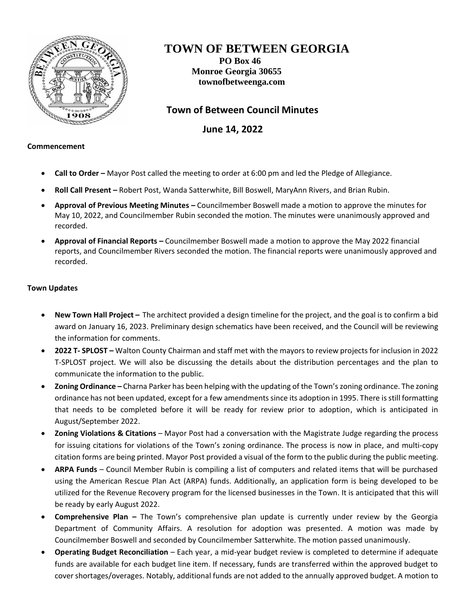

## **TOWN OF BETWEEN GEORGIA**

**PO Box 46 Monroe Georgia 30655 townofbetweenga.com**

 **Town of Between Council Minutes**

 **June 14, 2022**

## **Commencement**

- **Call to Order –** Mayor Post called the meeting to order at 6:00 pm and led the Pledge of Allegiance.
- **Roll Call Present –** Robert Post, Wanda Satterwhite, Bill Boswell, MaryAnn Rivers, and Brian Rubin.
- **Approval of Previous Meeting Minutes –** Councilmember Boswell made a motion to approve the minutes for May 10, 2022, and Councilmember Rubin seconded the motion. The minutes were unanimously approved and recorded.
- **Approval of Financial Reports –** Councilmember Boswell made a motion to approve the May 2022 financial reports, and Councilmember Rivers seconded the motion. The financial reports were unanimously approved and recorded.

## **Town Updates**

- **New Town Hall Project –** The architect provided a design timeline for the project, and the goal is to confirm a bid award on January 16, 2023. Preliminary design schematics have been received, and the Council will be reviewing the information for comments.
- **2022 T- SPLOST –** Walton County Chairman and staff met with the mayors to review projects for inclusion in 2022 T-SPLOST project. We will also be discussing the details about the distribution percentages and the plan to communicate the information to the public.
- **Zoning Ordinance –** Charna Parker has been helping with the updating of the Town's zoning ordinance. The zoning ordinance has not been updated, except for a few amendments since its adoption in 1995. There isstill formatting that needs to be completed before it will be ready for review prior to adoption, which is anticipated in August/September 2022.
- **Zoning Violations & Citations** Mayor Post had a conversation with the Magistrate Judge regarding the process for issuing citations for violations of the Town's zoning ordinance. The process is now in place, and multi-copy citation forms are being printed. Mayor Post provided a visual of the form to the public during the public meeting.
- **ARPA Funds** Council Member Rubin is compiling a list of computers and related items that will be purchased using the American Rescue Plan Act (ARPA) funds. Additionally, an application form is being developed to be utilized for the Revenue Recovery program for the licensed businesses in the Town. It is anticipated that this will be ready by early August 2022.
- **Comprehensive Plan –** The Town's comprehensive plan update is currently under review by the Georgia Department of Community Affairs. A resolution for adoption was presented. A motion was made by Councilmember Boswell and seconded by Councilmember Satterwhite. The motion passed unanimously.
- **Operating Budget Reconciliation** Each year, a mid-year budget review is completed to determine if adequate funds are available for each budget line item. If necessary, funds are transferred within the approved budget to cover shortages/overages. Notably, additional funds are not added to the annually approved budget. A motion to